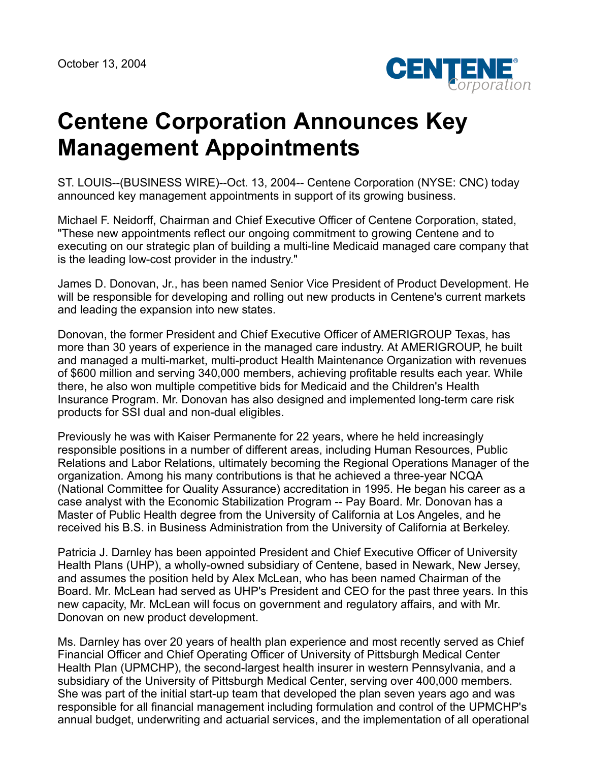

## **Centene Corporation Announces Key Management Appointments**

ST. LOUIS--(BUSINESS WIRE)--Oct. 13, 2004-- Centene Corporation (NYSE: CNC) today announced key management appointments in support of its growing business.

Michael F. Neidorff, Chairman and Chief Executive Officer of Centene Corporation, stated, "These new appointments reflect our ongoing commitment to growing Centene and to executing on our strategic plan of building a multi-line Medicaid managed care company that is the leading low-cost provider in the industry."

James D. Donovan, Jr., has been named Senior Vice President of Product Development. He will be responsible for developing and rolling out new products in Centene's current markets and leading the expansion into new states.

Donovan, the former President and Chief Executive Officer of AMERIGROUP Texas, has more than 30 years of experience in the managed care industry. At AMERIGROUP, he built and managed a multi-market, multi-product Health Maintenance Organization with revenues of \$600 million and serving 340,000 members, achieving profitable results each year. While there, he also won multiple competitive bids for Medicaid and the Children's Health Insurance Program. Mr. Donovan has also designed and implemented long-term care risk products for SSI dual and non-dual eligibles.

Previously he was with Kaiser Permanente for 22 years, where he held increasingly responsible positions in a number of different areas, including Human Resources, Public Relations and Labor Relations, ultimately becoming the Regional Operations Manager of the organization. Among his many contributions is that he achieved a three-year NCQA (National Committee for Quality Assurance) accreditation in 1995. He began his career as a case analyst with the Economic Stabilization Program -- Pay Board. Mr. Donovan has a Master of Public Health degree from the University of California at Los Angeles, and he received his B.S. in Business Administration from the University of California at Berkeley.

Patricia J. Darnley has been appointed President and Chief Executive Officer of University Health Plans (UHP), a wholly-owned subsidiary of Centene, based in Newark, New Jersey, and assumes the position held by Alex McLean, who has been named Chairman of the Board. Mr. McLean had served as UHP's President and CEO for the past three years. In this new capacity, Mr. McLean will focus on government and regulatory affairs, and with Mr. Donovan on new product development.

Ms. Darnley has over 20 years of health plan experience and most recently served as Chief Financial Officer and Chief Operating Officer of University of Pittsburgh Medical Center Health Plan (UPMCHP), the second-largest health insurer in western Pennsylvania, and a subsidiary of the University of Pittsburgh Medical Center, serving over 400,000 members. She was part of the initial start-up team that developed the plan seven years ago and was responsible for all financial management including formulation and control of the UPMCHP's annual budget, underwriting and actuarial services, and the implementation of all operational